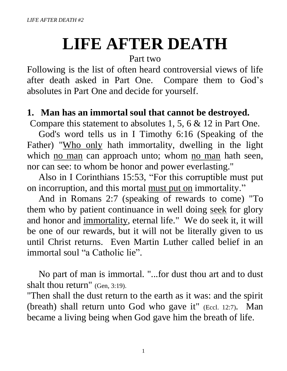# **LIFE AFTER DEATH**

#### Part two

Following is the list of often heard controversial views of life after death asked in Part One. Compare them to God's absolutes in Part One and decide for yourself.

#### **1. Man has an immortal soul that cannot be destroyed.**

Compare this statement to absolutes 1, 5, 6 & 12 in Part One.

God's word tells us in I Timothy 6:16 (Speaking of the Father) "Who only hath immortality, dwelling in the light which <u>no man</u> can approach unto; whom <u>no man</u> hath seen, nor can see: to whom be honor and power everlasting."

 Also in I Corinthians 15:53, "For this corruptible must put on incorruption, and this mortal must put on immortality."

 And in Romans 2:7 (speaking of rewards to come) "To them who by patient continuance in well doing seek for glory and honor and immortality, eternal life." We do seek it, it will be one of our rewards, but it will not be literally given to us until Christ returns. Even Martin Luther called belief in an immortal soul "a Catholic lie".

 No part of man is immortal. "...for dust thou art and to dust shalt thou return" (Gen, 3:19).

"Then shall the dust return to the earth as it was: and the spirit (breath) shall return unto God who gave it" (Eccl. 12:7). Man became a living being when God gave him the breath of life.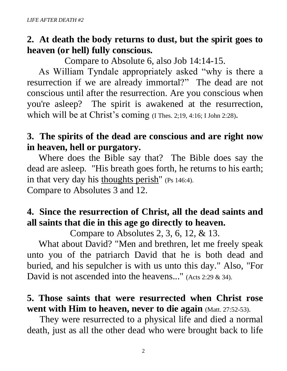# **2. At death the body returns to dust, but the spirit goes to heaven (or hell) fully conscious.**

Compare to Absolute 6, also Job 14:14-15.

As William Tyndale appropriately asked "why is there a resurrection if we are already immortal?" The dead are not conscious until after the resurrection. Are you conscious when you're asleep? The spirit is awakened at the resurrection, which will be at Christ's coming (I Thes. 2;19, 4:16; I John 2:28).

## **3. The spirits of the dead are conscious and are right now in heaven, hell or purgatory.**

Where does the Bible say that? The Bible does say the dead are asleep. "His breath goes forth, he returns to his earth; in that very day his thoughts perish" (Ps 146:4). Compare to Absolutes 3 and 12.

# **4. Since the resurrection of Christ, all the dead saints and all saints that die in this age go directly to heaven.**

Compare to Absolutes 2, 3, 6, 12, & 13.

What about David? "Men and brethren, let me freely speak unto you of the patriarch David that he is both dead and buried, and his sepulcher is with us unto this day." Also, "For David is not ascended into the heavens..." (Acts 2:29 & 34).

## **5. Those saints that were resurrected when Christ rose went with Him to heaven, never to die again** (Matt. 27:52-53).

They were resurrected to a physical life and died a normal death, just as all the other dead who were brought back to life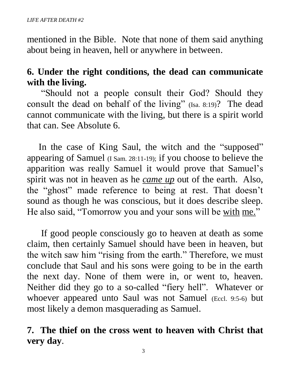mentioned in the Bible. Note that none of them said anything about being in heaven, hell or anywhere in between.

# **6. Under the right conditions, the dead can communicate with the living.**

 "Should not a people consult their God? Should they consult the dead on behalf of the living" (Isa. 8:19)? The dead cannot communicate with the living, but there is a spirit world that can. See Absolute 6.

 In the case of King Saul, the witch and the "supposed" appearing of Samuel (I Sam. 28:11-19); if you choose to believe the apparition was really Samuel it would prove that Samuel's spirit was not in heaven as he *came up* out of the earth. Also, the "ghost" made reference to being at rest. That doesn't sound as though he was conscious, but it does describe sleep. He also said, "Tomorrow you and your sons will be with me."

 If good people consciously go to heaven at death as some claim, then certainly Samuel should have been in heaven, but the witch saw him "rising from the earth." Therefore, we must conclude that Saul and his sons were going to be in the earth the next day. None of them were in, or went to, heaven. Neither did they go to a so-called "fiery hell". Whatever or whoever appeared unto Saul was not Samuel (Eccl. 9:5-6) but most likely a demon masquerading as Samuel.

## **7. The thief on the cross went to heaven with Christ that very day**.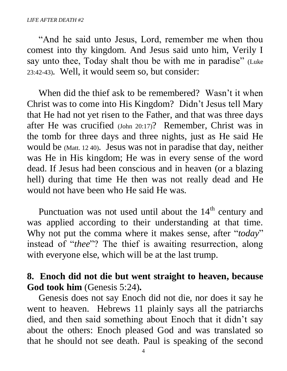"And he said unto Jesus, Lord, remember me when thou comest into thy kingdom. And Jesus said unto him, Verily I say unto thee, Today shalt thou be with me in paradise" (Luke 23:42-43). Well, it would seem so, but consider:

When did the thief ask to be remembered? Wasn't it when Christ was to come into His Kingdom? Didn't Jesus tell Mary that He had not yet risen to the Father, and that was three days after He was crucified (John 20:17)? Remember, Christ was in the tomb for three days and three nights, just as He said He would be (Matt. 12 40). Jesus was not in paradise that day, neither was He in His kingdom; He was in every sense of the word dead. If Jesus had been conscious and in heaven (or a blazing hell) during that time He then was not really dead and He would not have been who He said He was.

Punctuation was not used until about the  $14<sup>th</sup>$  century and was applied according to their understanding at that time. Why not put the comma where it makes sense, after "*today*" instead of "*thee*"? The thief is awaiting resurrection, along with everyone else, which will be at the last trump.

## **8. Enoch did not die but went straight to heaven, because God took him** (Genesis 5:24)**.**

Genesis does not say Enoch did not die, nor does it say he went to heaven. Hebrews 11 plainly says all the patriarchs died, and then said something about Enoch that it didn't say about the others: Enoch pleased God and was translated so that he should not see death. Paul is speaking of the second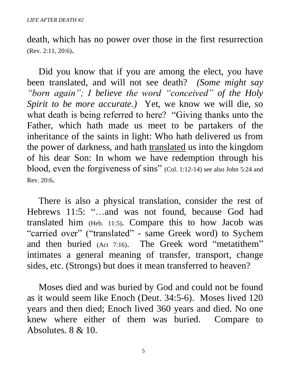death, which has no power over those in the first resurrection (Rev. 2:11, 20:6).

 Did you know that if you are among the elect, you have been translated, and will not see death? *(Some might say "born again"; I believe the word "conceived" of the Holy Spirit to be more accurate.)* Yet, we know we will die, so what death is being referred to here? "Giving thanks unto the Father, which hath made us meet to be partakers of the inheritance of the saints in light: Who hath delivered us from the power of darkness, and hath translated us into the kingdom of his dear Son: In whom we have redemption through his blood, even the forgiveness of sins" (Col. 1:12-14) see also John 5:24 and Rev. 20:6.

 There is also a physical translation, consider the rest of Hebrews 11:5: "...and was not found, because God had translated him (Heb. 11:5). Compare this to how Jacob was "carried over" ("translated" - same Greek word) to Sychem and then buried (Act 7:16). The Greek word "metatithem" intimates a general meaning of transfer, transport, change sides, etc. (Strongs) but does it mean transferred to heaven?

 Moses died and was buried by God and could not be found as it would seem like Enoch (Deut. 34:5-6). Moses lived 120 years and then died; Enoch lived 360 years and died. No one knew where either of them was buried. Compare to Absolutes. 8 & 10.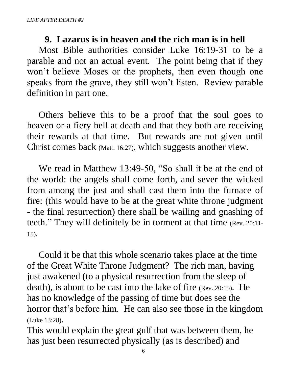#### **9. Lazarus is in heaven and the rich man is in hell**

 Most Bible authorities consider Luke 16:19-31 to be a parable and not an actual event. The point being that if they won't believe Moses or the prophets, then even though one speaks from the grave, they still won't listen. Review parable definition in part one.

 Others believe this to be a proof that the soul goes to heaven or a fiery hell at death and that they both are receiving their rewards at that time. But rewards are not given until Christ comes back (Matt. 16:27), which suggests another view.

We read in Matthew 13:49-50, "So shall it be at the end of the world: the angels shall come forth, and sever the wicked from among the just and shall cast them into the furnace of fire: (this would have to be at the great white throne judgment - the final resurrection) there shall be wailing and gnashing of teeth." They will definitely be in torment at that time (Rev. 20:11- 15).

 Could it be that this whole scenario takes place at the time of the Great White Throne Judgment? The rich man, having just awakened (to a physical resurrection from the sleep of death), is about to be cast into the lake of fire (Rev. 20:15). He has no knowledge of the passing of time but does see the horror that's before him. He can also see those in the kingdom (Luke 13:28).

This would explain the great gulf that was between them, he has just been resurrected physically (as is described) and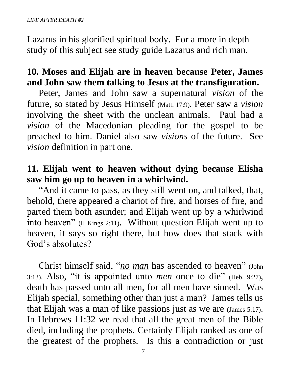Lazarus in his glorified spiritual body. For a more in depth study of this subject see study guide Lazarus and rich man.

# **10. Moses and Elijah are in heaven because Peter, James and John saw them talking to Jesus at the transfiguration.**

 Peter, James and John saw a supernatural *vision* of the future, so stated by Jesus Himself (Matt. 17:9). Peter saw a *vision* involving the sheet with the unclean animals. Paul had a *vision* of the Macedonian pleading for the gospel to be preached to him. Daniel also saw *visions* of the future. See *vision* definition in part one.

## **11. Elijah went to heaven without dying because Elisha saw him go up to heaven in a whirlwind.**

 "And it came to pass, as they still went on, and talked, that, behold, there appeared a chariot of fire, and horses of fire, and parted them both asunder; and Elijah went up by a whirlwind into heaven" (II Kings 2:11).Without question Elijah went up to heaven, it says so right there, but how does that stack with God's absolutes?

 Christ himself said, "*no man* has ascended to heaven" (John 3:13). Also, "it is appointed unto *men* once to die" (Heb. 9:27), death has passed unto all men, for all men have sinned. Was Elijah special, something other than just a man? James tells us that Elijah was a man of like passions just as we are (James 5:17). In Hebrews 11:32 we read that all the great men of the Bible died, including the prophets. Certainly Elijah ranked as one of the greatest of the prophets. Is this a contradiction or just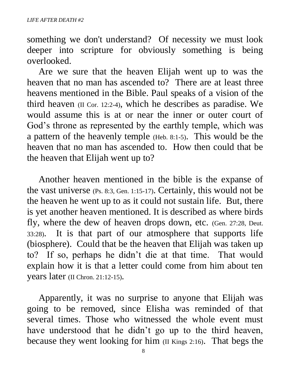something we don't understand? Of necessity we must look deeper into scripture for obviously something is being overlooked.

 Are we sure that the heaven Elijah went up to was the heaven that no man has ascended to? There are at least three heavens mentioned in the Bible. Paul speaks of a vision of the third heaven (II Cor. 12:2-4), which he describes as paradise. We would assume this is at or near the inner or outer court of God's throne as represented by the earthly temple, which was a pattern of the heavenly temple (Heb. 8:1-5). This would be the heaven that no man has ascended to. How then could that be the heaven that Elijah went up to?

 Another heaven mentioned in the bible is the expanse of the vast universe (Ps. 8:3, Gen. 1:15-17). Certainly, this would not be the heaven he went up to as it could not sustain life. But, there is yet another heaven mentioned. It is described as where birds fly, where the dew of heaven drops down, etc. (Gen. 27:28, Deut. 33:28). It is that part of our atmosphere that supports life (biosphere). Could that be the heaven that Elijah was taken up to? If so, perhaps he didn't die at that time. That would explain how it is that a letter could come from him about ten years later (II Chron. 21:12-15).

 Apparently, it was no surprise to anyone that Elijah was going to be removed, since Elisha was reminded of that several times. Those who witnessed the whole event must have understood that he didn't go up to the third heaven, because they went looking for him (II Kings 2:16). That begs the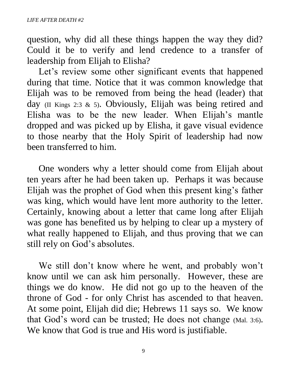question, why did all these things happen the way they did? Could it be to verify and lend credence to a transfer of leadership from Elijah to Elisha?

 Let's review some other significant events that happened during that time. Notice that it was common knowledge that Elijah was to be removed from being the head (leader) that day (II Kings 2:3 & 5). Obviously, Elijah was being retired and Elisha was to be the new leader. When Elijah's mantle dropped and was picked up by Elisha, it gave visual evidence to those nearby that the Holy Spirit of leadership had now been transferred to him.

 One wonders why a letter should come from Elijah about ten years after he had been taken up. Perhaps it was because Elijah was the prophet of God when this present king's father was king, which would have lent more authority to the letter. Certainly, knowing about a letter that came long after Elijah was gone has benefited us by helping to clear up a mystery of what really happened to Elijah, and thus proving that we can still rely on God's absolutes.

 We still don't know where he went, and probably won't know until we can ask him personally. However, these are things we do know. He did not go up to the heaven of the throne of God - for only Christ has ascended to that heaven. At some point, Elijah did die; Hebrews 11 says so. We know that God's word can be trusted; He does not change (Mal. 3:6). We know that God is true and His word is justifiable.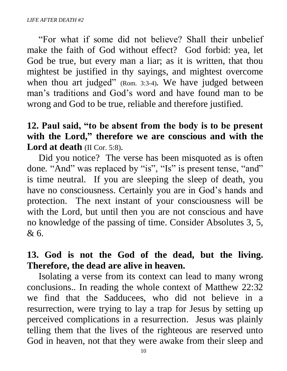"For what if some did not believe? Shall their unbelief make the faith of God without effect? God forbid: yea, let God be true, but every man a liar; as it is written, that thou mightest be justified in thy sayings, and mightest overcome when thou art judged" (Rom. 3:3-4). We have judged between man's traditions and God's word and have found man to be wrong and God to be true, reliable and therefore justified.

# **12. Paul said, "to be absent from the body is to be present with the Lord, " therefore we are conscious and with the Lord at death** (II Cor. 5:8).

 Did you notice? The verse has been misquoted as is often done. "And" was replaced by "is", "Is" is present tense, "and" is time neutral. If you are sleeping the sleep of death, you have no consciousness. Certainly you are in God's hands and protection. The next instant of your consciousness will be with the Lord, but until then you are not conscious and have no knowledge of the passing of time. Consider Absolutes 3, 5, & 6.

## **13. God is not the God of the dead, but the living. Therefore, the dead are alive in heaven.**

 Isolating a verse from its context can lead to many wrong conclusions.. In reading the whole context of Matthew 22:32 we find that the Sadducees, who did not believe in a resurrection, were trying to lay a trap for Jesus by setting up perceived complications in a resurrection. Jesus was plainly telling them that the lives of the righteous are reserved unto God in heaven, not that they were awake from their sleep and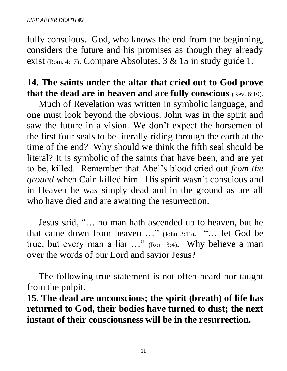fully conscious. God, who knows the end from the beginning, considers the future and his promises as though they already exist (Rom. 4:17). Compare Absolutes. 3 & 15 in study guide 1.

## **14. The saints under the altar that cried out to God prove that the dead are in heaven and are fully conscious** (Rev. 6:10).

 Much of Revelation was written in symbolic language, and one must look beyond the obvious. John was in the spirit and saw the future in a vision. We don't expect the horsemen of the first four seals to be literally riding through the earth at the time of the end? Why should we think the fifth seal should be literal? It is symbolic of the saints that have been, and are yet to be, killed. Remember that Abel's blood cried out *from the ground* when Cain killed him. His spirit wasn't conscious and in Heaven he was simply dead and in the ground as are all who have died and are awaiting the resurrection.

 Jesus said, "… no man hath ascended up to heaven, but he that came down from heaven …" (John 3:13). "… let God be true, but every man a liar …" (Rom 3:4). Why believe a man over the words of our Lord and savior Jesus?

 The following true statement is not often heard nor taught from the pulpit.

**15. The dead are unconscious; the spirit (breath) of life has returned to God, their bodies have turned to dust; the next instant of their consciousness will be in the resurrection.**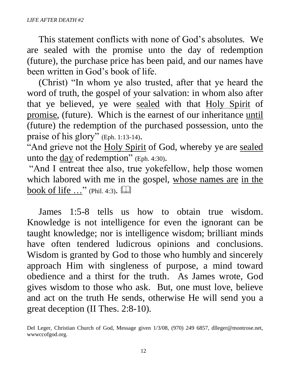This statement conflicts with none of God's absolutes. We are sealed with the promise unto the day of redemption (future), the purchase price has been paid, and our names have been written in God's book of life.

 (Christ) "In whom ye also trusted, after that ye heard the word of truth, the gospel of your salvation: in whom also after that ye believed, ye were sealed with that Holy Spirit of promise, (future). Which is the earnest of our inheritance until (future) the redemption of the purchased possession, unto the praise of his glory" (Eph. 1:13-14).

"And grieve not the Holy Spirit of God, whereby ye are sealed unto the  $\frac{day}{dx}$  of redemption" (Eph. 4:30).

"And I entreat thee also, true yokefellow, help those women which labored with me in the gospel, whose names are in the book of life  $\ldots$ " (Phil. 4:3).

 James 1:5-8 tells us how to obtain true wisdom. Knowledge is not intelligence for even the ignorant can be taught knowledge; nor is intelligence wisdom; brilliant minds have often tendered ludicrous opinions and conclusions. Wisdom is granted by God to those who humbly and sincerely approach Him with singleness of purpose, a mind toward obedience and a thirst for the truth. As James wrote, God gives wisdom to those who ask. But, one must love, believe and act on the truth He sends, otherwise He will send you a great deception (II Thes. 2:8-10).

Del Leger, Christian Church of God, Message given 1/3/08, (970) 249 6857, dlleger@montrose.net, wwwccofgod.org.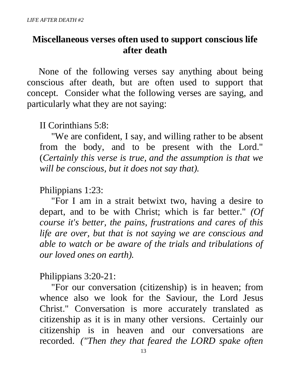## **Miscellaneous verses often used to support conscious life after death**

 None of the following verses say anything about being conscious after death, but are often used to support that concept. Consider what the following verses are saying, and particularly what they are not saying:

II Corinthians 5:8:

 "We are confident, I say, and willing rather to be absent from the body, and to be present with the Lord." (*Certainly this verse is true, and the assumption is that we will be conscious, but it does not say that).*

## Philippians 1:23:

 "For I am in a strait betwixt two, having a desire to depart, and to be with Christ; which is far better." *(Of course it's better, the pains, frustrations and cares of this life are over, but that is not saying we are conscious and able to watch or be aware of the trials and tribulations of our loved ones on earth).* 

Philippians 3:20-21:

 "For our conversation (citizenship) is in heaven; from whence also we look for the Saviour, the Lord Jesus Christ." Conversation is more accurately translated as citizenship as it is in many other versions. Certainly our citizenship is in heaven and our conversations are recorded. *("Then they that feared the LORD spake often*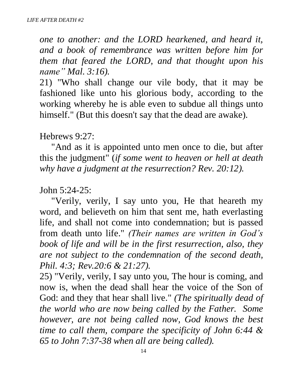*one to another: and the LORD hearkened, and heard it, and a book of remembrance was written before him for them that feared the LORD, and that thought upon his name" Mal. 3:16).*

21) "Who shall change our vile body, that it may be fashioned like unto his glorious body, according to the working whereby he is able even to subdue all things unto himself." (But this doesn't say that the dead are awake).

#### Hebrews 9:27:

 "And as it is appointed unto men once to die, but after this the judgment" (*if some went to heaven or hell at death why have a judgment at the resurrection? Rev. 20:12).*

#### John 5:24-25:

 "Verily, verily, I say unto you, He that heareth my word, and believeth on him that sent me, hath everlasting life, and shall not come into condemnation; but is passed from death unto life." *(Their names are written in God's book of life and will be in the first resurrection, also, they are not subject to the condemnation of the second death, Phil. 4:3; Rev.20:6 & 21:27).*

25) "Verily, verily, I say unto you, The hour is coming, and now is, when the dead shall hear the voice of the Son of God: and they that hear shall live." *(The spiritually dead of the world who are now being called by the Father. Some however, are not being called now, God knows the best time to call them, compare the specificity of John 6:44 & 65 to John 7:37-38 when all are being called).*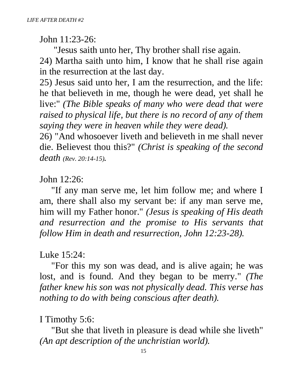John 11:23-26:

 "Jesus saith unto her, Thy brother shall rise again. 24) Martha saith unto him, I know that he shall rise again in the resurrection at the last day.

25) Jesus said unto her, I am the resurrection, and the life: he that believeth in me, though he were dead, yet shall he live:" *(The Bible speaks of many who were dead that were raised to physical life, but there is no record of any of them saying they were in heaven while they were dead).*

26) "And whosoever liveth and believeth in me shall never die. Believest thou this?" *(Christ is speaking of the second death (Rev. 20:14-15).*

John 12:26:

 "If any man serve me, let him follow me; and where I am, there shall also my servant be: if any man serve me, him will my Father honor." *(Jesus is speaking of His death and resurrection and the promise to His servants that follow Him in death and resurrection, John 12:23-28).*

Luke 15:24:

 "For this my son was dead, and is alive again; he was lost, and is found. And they began to be merry." *(The father knew his son was not physically dead. This verse has nothing to do with being conscious after death).*

I Timothy 5:6:

 "But she that liveth in pleasure is dead while she liveth" *(An apt description of the unchristian world).*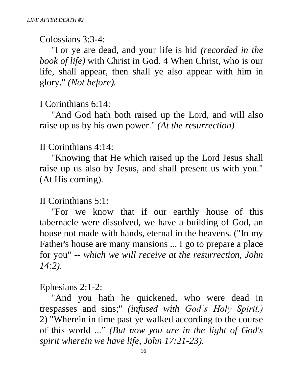Colossians 3:3-4:

 "For ye are dead, and your life is hid *(recorded in the book of life)* with Christ in God. 4 When Christ, who is our life, shall appear, then shall ye also appear with him in glory." *(Not before).*

#### I Corinthians 6:14:

 "And God hath both raised up the Lord, and will also raise up us by his own power." *(At the resurrection)*

#### II Corinthians 4:14:

 "Knowing that He which raised up the Lord Jesus shall raise up us also by Jesus, and shall present us with you." (At His coming).

#### II Corinthians 5:1:

 "For we know that if our earthly house of this tabernacle were dissolved, we have a building of God, an house not made with hands, eternal in the heavens. ("In my Father's house are many mansions ... I go to prepare a place for you" -- *which we will receive at the resurrection, John 14:2).*

#### Ephesians 2:1-2:

 "And you hath he quickened, who were dead in trespasses and sins;" *(infused with God's Holy Spirit,)* 2) "Wherein in time past ye walked according to the course of this world ..." *(But now you are in the light of God's spirit wherein we have life, John 17:21-23).*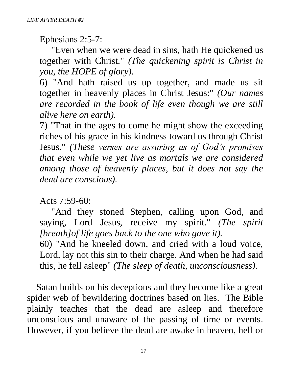Ephesians 2:5-7:

 "Even when we were dead in sins, hath He quickened us together with Christ." *(The quickening spirit is Christ in you, the HOPE of glory).*

6) "And hath raised us up together, and made us sit together in heavenly places in Christ Jesus:" *(Our names are recorded in the book of life even though we are still alive here on earth).*

7) "That in the ages to come he might show the exceeding riches of his grace in his kindness toward us through Christ Jesus." *(These verses are assuring us of God's promises that even while we yet live as mortals we are considered among those of heavenly places, but it does not say the dead are conscious).*

Acts 7:59-60:

 "And they stoned Stephen, calling upon God, and saying, Lord Jesus, receive my spirit." *(The spirit [breath]of life goes back to the one who gave it).*

60) "And he kneeled down, and cried with a loud voice, Lord, lay not this sin to their charge. And when he had said this, he fell asleep" *(The sleep of death, unconsciousness).*

 Satan builds on his deceptions and they become like a great spider web of bewildering doctrines based on lies. The Bible plainly teaches that the dead are asleep and therefore unconscious and unaware of the passing of time or events. However, if you believe the dead are awake in heaven, hell or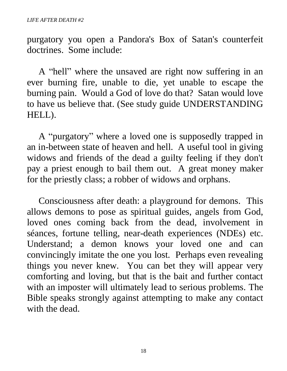purgatory you open a Pandora's Box of Satan's counterfeit doctrines. Some include:

 A "hell" where the unsaved are right now suffering in an ever burning fire, unable to die, yet unable to escape the burning pain. Would a God of love do that? Satan would love to have us believe that. (See study guide UNDERSTANDING HELL).

 A "purgatory" where a loved one is supposedly trapped in an in-between state of heaven and hell. A useful tool in giving widows and friends of the dead a guilty feeling if they don't pay a priest enough to bail them out. A great money maker for the priestly class; a robber of widows and orphans.

 Consciousness after death: a playground for demons. This allows demons to pose as spiritual guides, angels from God, loved ones coming back from the dead, involvement in séances, fortune telling, near-death experiences (NDEs) etc. Understand; a demon knows your loved one and can convincingly imitate the one you lost. Perhaps even revealing things you never knew. You can bet they will appear very comforting and loving, but that is the bait and further contact with an imposter will ultimately lead to serious problems. The Bible speaks strongly against attempting to make any contact with the dead.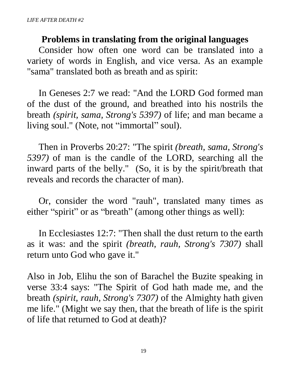#### **Problems in translating from the original languages**

 Consider how often one word can be translated into a variety of words in English, and vice versa. As an example "sama" translated both as breath and as spirit:

 In Geneses 2:7 we read: "And the LORD God formed man of the dust of the ground, and breathed into his nostrils the breath *(spirit, sama, Strong's 5397)* of life; and man became a living soul." (Note, not "immortal" soul).

 Then in Proverbs 20:27: "The spirit *(breath, sama, Strong's 5397)* of man is the candle of the LORD, searching all the inward parts of the belly." (So, it is by the spirit/breath that reveals and records the character of man).

 Or, consider the word "rauh", translated many times as either "spirit" or as "breath" (among other things as well):

 In Ecclesiastes 12:7: "Then shall the dust return to the earth as it was: and the spirit *(breath, rauh, Strong's 7307)* shall return unto God who gave it."

Also in Job, Elihu the son of Barachel the Buzite speaking in verse 33:4 says: "The Spirit of God hath made me, and the breath *(spirit, rauh, Strong's 7307)* of the Almighty hath given me life." (Might we say then, that the breath of life is the spirit of life that returned to God at death)?